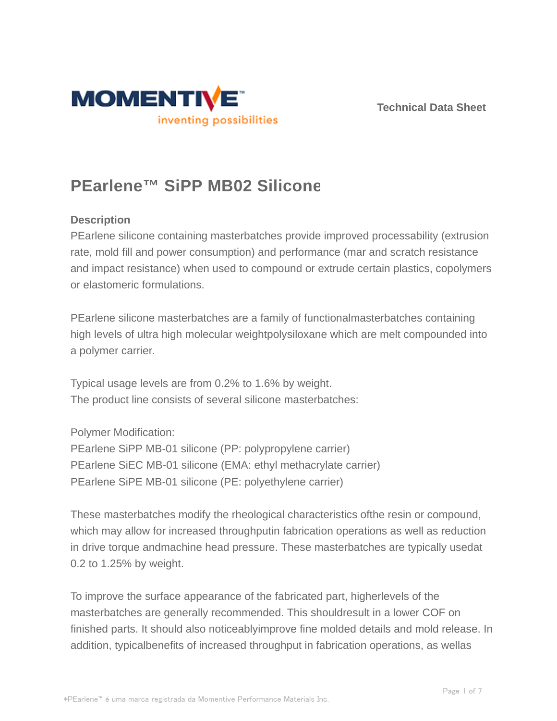



# **PEarlene™ SiPP MB02 Silicone**

#### **Description**

PEarlene silicone containing masterbatches provide improved processability (extrusion rate, mold fill and power consumption) and performance (mar and scratch resistance and impact resistance) when used to compound or extrude certain plastics, copolymers or elastomeric formulations.

PEarlene silicone masterbatches are a family of functionalmasterbatches containing high levels of ultra high molecular weightpolysiloxane which are melt compounded into a polymer carrier.

Typical usage levels are from 0.2% to 1.6% by weight. The product line consists of several silicone masterbatches:

Polymer Modification:

PEarlene SiPP MB-01 silicone (PP: polypropylene carrier) PEarlene SiEC MB-01 silicone (EMA: ethyl methacrylate carrier) PEarlene SiPE MB-01 silicone (PE: polyethylene carrier)

These masterbatches modify the rheological characteristics ofthe resin or compound, which may allow for increased throughputin fabrication operations as well as reduction in drive torque andmachine head pressure. These masterbatches are typically usedat 0.2 to 1.25% by weight.

To improve the surface appearance of the fabricated part, higherlevels of the masterbatches are generally recommended. This shouldresult in a lower COF on finished parts. It should also noticeablyimprove fine molded details and mold release. In addition, typicalbenefits of increased throughput in fabrication operations, as wellas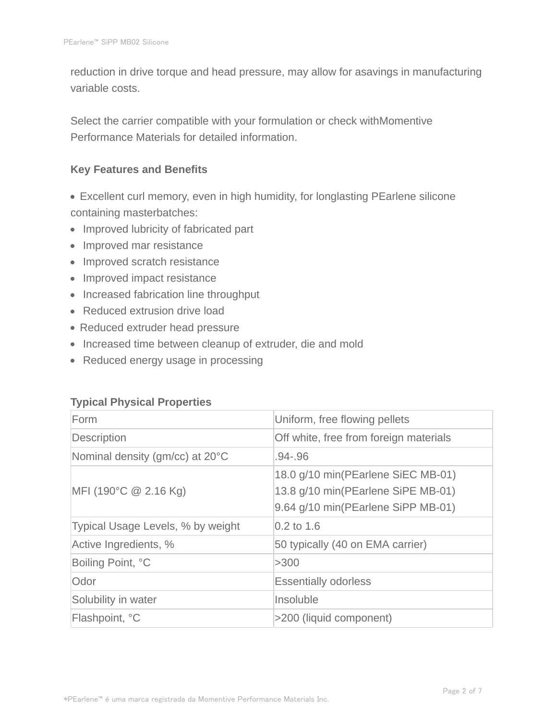reduction in drive torque and head pressure, may allow for asavings in manufacturing variable costs.

Select the carrier compatible with your formulation or check withMomentive Performance Materials for detailed information.

#### **Key Features and Benefits**

- Excellent curl memory, even in high humidity, for longlasting PEarlene silicone containing masterbatches:
- Improved lubricity of fabricated part
- Improved mar resistance
- Improved scratch resistance
- Improved impact resistance
- Increased fabrication line throughput
- Reduced extrusion drive load
- Reduced extruder head pressure
- Increased time between cleanup of extruder, die and mold
- Reduced energy usage in processing

#### **Typical Physical Properties**

| Form                              | Uniform, free flowing pellets                                                                                  |
|-----------------------------------|----------------------------------------------------------------------------------------------------------------|
| Description                       | Off white, free from foreign materials                                                                         |
| Nominal density (gm/cc) at 20°C   | .94-.96                                                                                                        |
| MFI (190°C $@$ 2.16 Kg)           | 18.0 g/10 min(PEarlene SiEC MB-01)<br>13.8 g/10 min(PEarlene SiPE MB-01)<br>9.64 g/10 min(PEarlene SiPP MB-01) |
| Typical Usage Levels, % by weight | $0.2$ to 1.6                                                                                                   |
| Active Ingredients, %             | 50 typically (40 on EMA carrier)                                                                               |
| Boiling Point, °C                 | >300                                                                                                           |
| Odor                              | <b>Essentially odorless</b>                                                                                    |
| Solubility in water               | Insoluble                                                                                                      |
| Flashpoint, °C                    | >200 (liquid component)                                                                                        |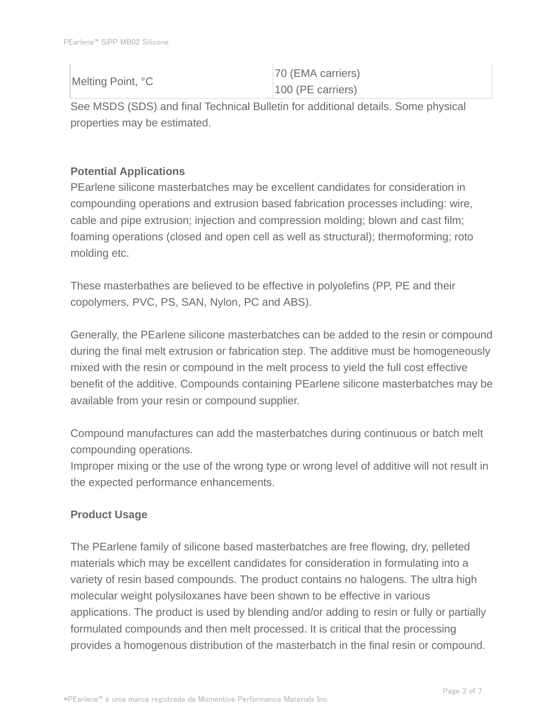| Melting Point, °C | 70 (EMA carriers)   |
|-------------------|---------------------|
|                   | $100$ (PE carriers) |

See MSDS (SDS) and final Technical Bulletin for additional details. Some physical properties may be estimated.

## **Potential Applications**

PEarlene silicone masterbatches may be excellent candidates for consideration in compounding operations and extrusion based fabrication processes including: wire, cable and pipe extrusion; injection and compression molding; blown and cast film; foaming operations (closed and open cell as well as structural); thermoforming; roto molding etc.

These masterbathes are believed to be effective in polyolefins (PP, PE and their copolymers, PVC, PS, SAN, Nylon, PC and ABS).

Generally, the PEarlene silicone masterbatches can be added to the resin or compound during the final melt extrusion or fabrication step. The additive must be homogeneously mixed with the resin or compound in the melt process to yield the full cost effective benefit of the additive. Compounds containing PEarlene silicone masterbatches may be available from your resin or compound supplier.

Compound manufactures can add the masterbatches during continuous or batch melt compounding operations.

Improper mixing or the use of the wrong type or wrong level of additive will not result in the expected performance enhancements.

## **Product Usage**

The PEarlene family of silicone based masterbatches are free flowing, dry, pelleted materials which may be excellent candidates for consideration in formulating into a variety of resin based compounds. The product contains no halogens. The ultra high molecular weight polysiloxanes have been shown to be effective in various applications. The product is used by blending and/or adding to resin or fully or partially formulated compounds and then melt processed. It is critical that the processing provides a homogenous distribution of the masterbatch in the final resin or compound.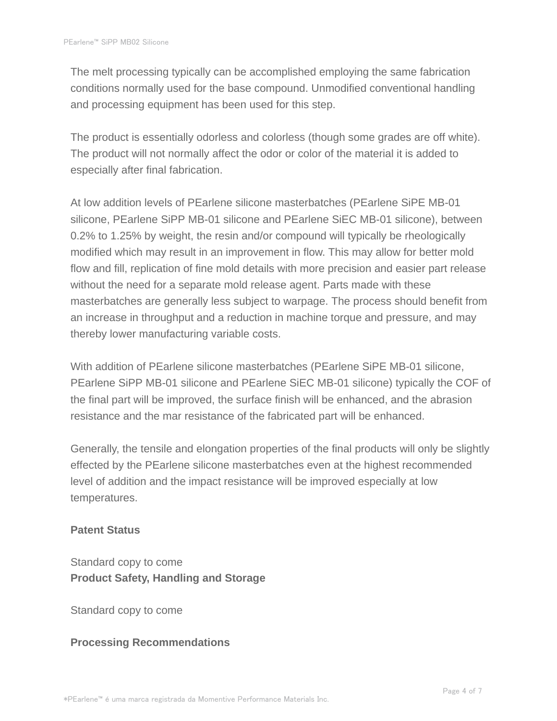The melt processing typically can be accomplished employing the same fabrication conditions normally used for the base compound. Unmodified conventional handling and processing equipment has been used for this step.

The product is essentially odorless and colorless (though some grades are off white). The product will not normally affect the odor or color of the material it is added to especially after final fabrication.

At low addition levels of PEarlene silicone masterbatches (PEarlene SiPE MB-01 silicone, PEarlene SiPP MB-01 silicone and PEarlene SiEC MB-01 silicone), between 0.2% to 1.25% by weight, the resin and/or compound will typically be rheologically modified which may result in an improvement in flow. This may allow for better mold flow and fill, replication of fine mold details with more precision and easier part release without the need for a separate mold release agent. Parts made with these masterbatches are generally less subject to warpage. The process should benefit from an increase in throughput and a reduction in machine torque and pressure, and may thereby lower manufacturing variable costs.

With addition of PEarlene silicone masterbatches (PEarlene SiPE MB-01 silicone, PEarlene SiPP MB-01 silicone and PEarlene SiEC MB-01 silicone) typically the COF of the final part will be improved, the surface finish will be enhanced, and the abrasion resistance and the mar resistance of the fabricated part will be enhanced.

Generally, the tensile and elongation properties of the final products will only be slightly effected by the PEarlene silicone masterbatches even at the highest recommended level of addition and the impact resistance will be improved especially at low temperatures.

#### **Patent Status**

Standard copy to come **Product Safety, Handling and Storage**

Standard copy to come

#### **Processing Recommendations**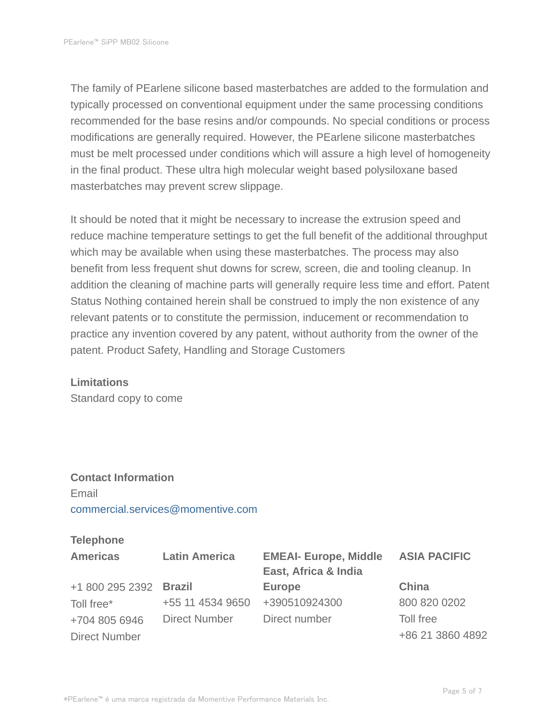The family of PEarlene silicone based masterbatches are added to the formulation and typically processed on conventional equipment under the same processing conditions recommended for the base resins and/or compounds. No special conditions or process modifications are generally required. However, the PEarlene silicone masterbatches must be melt processed under conditions which will assure a high level of homogeneity in the final product. These ultra high molecular weight based polysiloxane based masterbatches may prevent screw slippage.

It should be noted that it might be necessary to increase the extrusion speed and reduce machine temperature settings to get the full benefit of the additional throughput which may be available when using these masterbatches. The process may also benefit from less frequent shut downs for screw, screen, die and tooling cleanup. In addition the cleaning of machine parts will generally require less time and effort. Patent Status Nothing contained herein shall be construed to imply the non existence of any relevant patents or to constitute the permission, inducement or recommendation to practice any invention covered by any patent, without authority from the owner of the patent. Product Safety, Handling and Storage Customers

#### **Limitations**

Standard copy to come

# **Contact Information** Email commercial.services@momentive.com

#### **Telephone**

| <b>Americas</b>        | <b>Latin America</b> | <b>EMEAI- Europe, Middle</b><br>East, Africa & India | <b>ASIA PACIFIC</b> |
|------------------------|----------------------|------------------------------------------------------|---------------------|
| +1 800 295 2392 Brazil |                      | <b>Europe</b>                                        | China               |
| Toll free*             | +55 11 4534 9650     | +390510924300                                        | 800 820 0202        |
| +704 805 6946          | <b>Direct Number</b> | Direct number                                        | Toll free           |
| <b>Direct Number</b>   |                      |                                                      | +86 21 3860 4892    |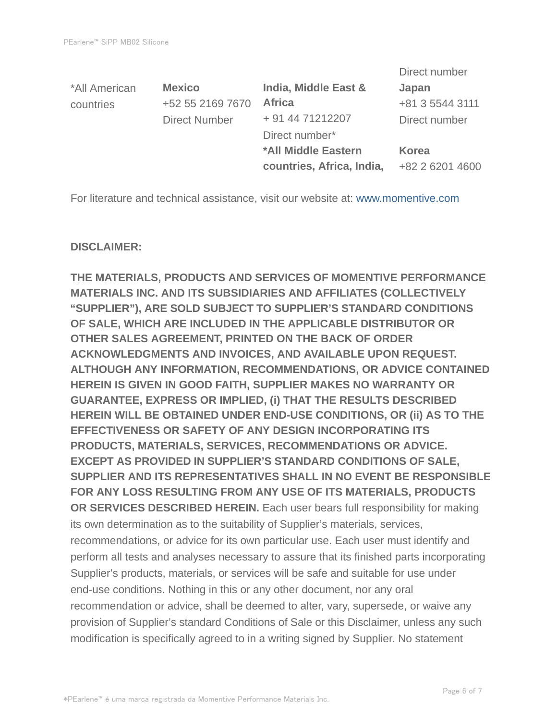|               |                      |                           | Direct number   |
|---------------|----------------------|---------------------------|-----------------|
| *All American | <b>Mexico</b>        | India, Middle East &      | Japan           |
| countries     | +52 55 2169 7670     | <b>Africa</b>             | +81 3 5544 3111 |
|               | <b>Direct Number</b> | + 91 44 71212207          | Direct number   |
|               |                      | Direct number*            |                 |
|               |                      | *All Middle Eastern       | <b>Korea</b>    |
|               |                      | countries, Africa, India, | +82 2 6201 4600 |

For literature and technical assistance, visit our website at: www.momentive.com

#### **DISCLAIMER:**

**THE MATERIALS, PRODUCTS AND SERVICES OF MOMENTIVE PERFORMANCE MATERIALS INC. AND ITS SUBSIDIARIES AND AFFILIATES (COLLECTIVELY "SUPPLIER"), ARE SOLD SUBJECT TO SUPPLIER'S STANDARD CONDITIONS OF SALE, WHICH ARE INCLUDED IN THE APPLICABLE DISTRIBUTOR OR OTHER SALES AGREEMENT, PRINTED ON THE BACK OF ORDER ACKNOWLEDGMENTS AND INVOICES, AND AVAILABLE UPON REQUEST. ALTHOUGH ANY INFORMATION, RECOMMENDATIONS, OR ADVICE CONTAINED HEREIN IS GIVEN IN GOOD FAITH, SUPPLIER MAKES NO WARRANTY OR GUARANTEE, EXPRESS OR IMPLIED, (i) THAT THE RESULTS DESCRIBED HEREIN WILL BE OBTAINED UNDER END-USE CONDITIONS, OR (ii) AS TO THE EFFECTIVENESS OR SAFETY OF ANY DESIGN INCORPORATING ITS PRODUCTS, MATERIALS, SERVICES, RECOMMENDATIONS OR ADVICE. EXCEPT AS PROVIDED IN SUPPLIER'S STANDARD CONDITIONS OF SALE, SUPPLIER AND ITS REPRESENTATIVES SHALL IN NO EVENT BE RESPONSIBLE FOR ANY LOSS RESULTING FROM ANY USE OF ITS MATERIALS, PRODUCTS OR SERVICES DESCRIBED HEREIN.** Each user bears full responsibility for making its own determination as to the suitability of Supplier's materials, services, recommendations, or advice for its own particular use. Each user must identify and perform all tests and analyses necessary to assure that its finished parts incorporating Supplier's products, materials, or services will be safe and suitable for use under end-use conditions. Nothing in this or any other document, nor any oral recommendation or advice, shall be deemed to alter, vary, supersede, or waive any provision of Supplier's standard Conditions of Sale or this Disclaimer, unless any such modification is specifically agreed to in a writing signed by Supplier. No statement